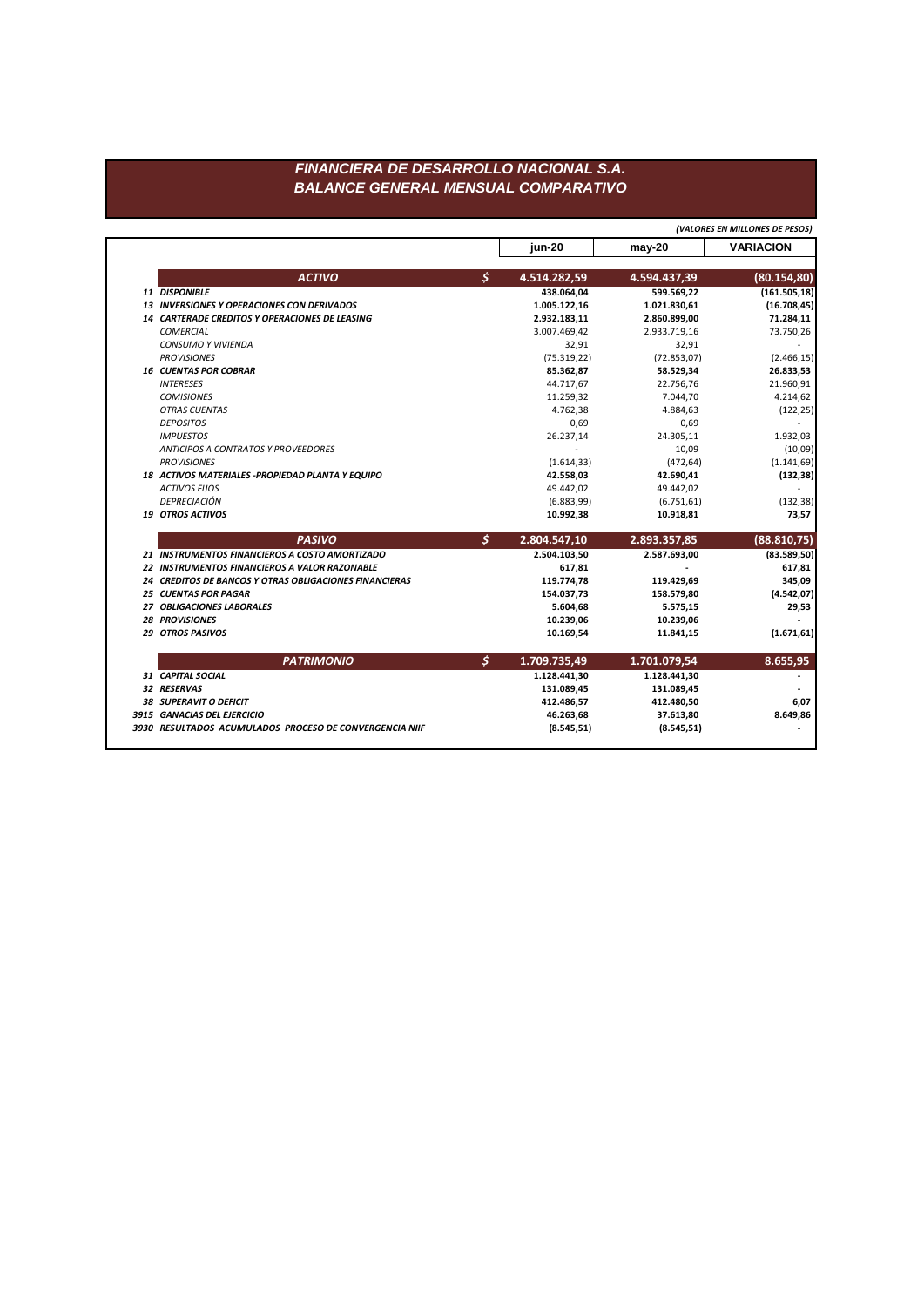## FINANCIERA DE DESARROLLO NACIONAL S.A. **BALANCE GENERAL MENSUAL COMPARATIVO**

|                                                        |    |              |              | (VALORES EN MILLONES DE PESOS) |
|--------------------------------------------------------|----|--------------|--------------|--------------------------------|
|                                                        |    | jun-20       | $may-20$     | <b>VARIACION</b>               |
| <b>ACTIVO</b>                                          | Ś  | 4.514.282,59 | 4.594.437,39 | (80.154, 80)                   |
| 11 DISPONIBLE                                          |    | 438.064,04   | 599.569,22   | (161.505, 18)                  |
| <b>13 INVERSIONES Y OPERACIONES CON DERIVADOS</b>      |    | 1.005.122,16 | 1.021.830,61 | (16.708, 45)                   |
| 14 CARTERADE CREDITOS Y OPERACIONES DE LEASING         |    | 2.932.183,11 | 2.860.899,00 | 71.284,11                      |
| <b>COMERCIAL</b>                                       |    | 3.007.469,42 | 2.933.719,16 | 73.750,26                      |
| <b>CONSUMO Y VIVIENDA</b>                              |    | 32,91        | 32,91        |                                |
| <b>PROVISIONES</b>                                     |    | (75.319, 22) | (72.853, 07) | (2.466, 15)                    |
| <b>16 CUENTAS POR COBRAR</b>                           |    | 85.362,87    | 58.529,34    | 26.833,53                      |
| <b>INTERESES</b>                                       |    | 44.717,67    | 22.756,76    | 21.960,91                      |
| <b>COMISIONES</b>                                      |    | 11.259,32    | 7.044,70     | 4.214,62                       |
| <b>OTRAS CUENTAS</b>                                   |    | 4.762,38     | 4.884,63     | (122, 25)                      |
| <b>DEPOSITOS</b>                                       |    | 0,69         | 0,69         |                                |
| <b>IMPUESTOS</b>                                       |    | 26.237,14    | 24.305,11    | 1.932,03                       |
| ANTICIPOS A CONTRATOS Y PROVEEDORES                    |    |              | 10,09        | (10,09)                        |
| <b>PROVISIONES</b>                                     |    | (1.614, 33)  | (472, 64)    | (1.141, 69)                    |
| 18 ACTIVOS MATERIALES - PROPIEDAD PLANTA Y EQUIPO      |    | 42.558,03    | 42.690,41    | (132, 38)                      |
| <b>ACTIVOS FIJOS</b>                                   |    | 49.442,02    | 49.442,02    |                                |
| <b>DEPRECIACIÓN</b>                                    |    | (6.883, 99)  | (6.751, 61)  | (132, 38)                      |
| 19 OTROS ACTIVOS                                       |    | 10.992,38    | 10.918,81    | 73,57                          |
| <b>PASIVO</b>                                          | \$ | 2.804.547,10 | 2.893.357,85 | (88.810,75)                    |
| 21 INSTRUMENTOS FINANCIEROS A COSTO AMORTIZADO         |    | 2.504.103,50 | 2.587.693,00 | (83.589, 50)                   |
| 22 INSTRUMENTOS FINANCIEROS A VALOR RAZONABLE          |    | 617,81       |              | 617,81                         |
| 24 CREDITOS DE BANCOS Y OTRAS OBLIGACIONES FINANCIERAS |    | 119.774,78   | 119.429,69   | 345,09                         |
| <b>25 CUENTAS POR PAGAR</b>                            |    | 154.037,73   | 158.579,80   | (4.542, 07)                    |
| 27 OBLIGACIONES LABORALES                              |    | 5.604,68     | 5.575,15     | 29,53                          |
| <b>28 PROVISIONES</b>                                  |    | 10.239,06    | 10.239,06    |                                |
| <b>29 OTROS PASIVOS</b>                                |    | 10.169,54    | 11.841,15    | (1.671, 61)                    |
| <b>PATRIMONIO</b>                                      | \$ | 1.709.735,49 | 1.701.079,54 | 8.655,95                       |
| 31 CAPITAL SOCIAL                                      |    | 1.128.441,30 | 1.128.441,30 |                                |
| 32 RESERVAS                                            |    | 131.089,45   | 131.089,45   |                                |
| <b>38 SUPERAVIT O DEFICIT</b>                          |    | 412.486,57   | 412.480,50   | 6,07                           |
|                                                        |    |              |              |                                |
| 3915 GANACIAS DEL EJERCICIO                            |    | 46.263,68    | 37.613,80    | 8.649,86                       |